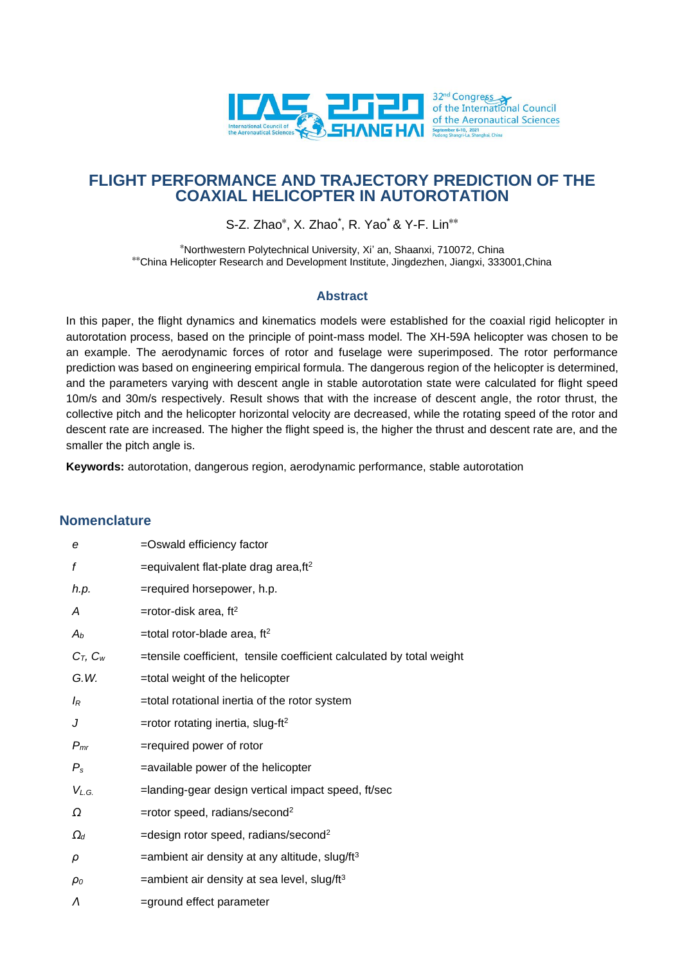

# **FLIGHT PERFORMANCE AND TRAJECTORY PREDICTION OF THE COAXIAL HELICOPTER IN AUTOROTATION**

S-Z. Zhao\* , X. Zhao\* , R. Yao\* & Y-F. Lin\*\*

\*Northwestern Polytechnical University, Xi' an, Shaanxi, 710072, China \*\*China Helicopter Research and Development Institute, Jingdezhen, Jiangxi, 333001,China

### **Abstract**

In this paper, the flight dynamics and kinematics models were established for the coaxial rigid helicopter in autorotation process, based on the principle of point-mass model. The XH-59A helicopter was chosen to be an example. The aerodynamic forces of rotor and fuselage were superimposed. The rotor performance prediction was based on engineering empirical formula. The dangerous region of the helicopter is determined, and the parameters varying with descent angle in stable autorotation state were calculated for flight speed 10m/s and 30m/s respectively. Result shows that with the increase of descent angle, the rotor thrust, the collective pitch and the helicopter horizontal velocity are decreased, while the rotating speed of the rotor and descent rate are increased. The higher the flight speed is, the higher the thrust and descent rate are, and the smaller the pitch angle is.

**Keywords:** autorotation, dangerous region, aerodynamic performance, stable autorotation

## **Nomenclature**

| e             | =Oswald efficiency factor                                            |
|---------------|----------------------------------------------------------------------|
| f             | $=$ equivalent flat-plate drag area, ft <sup>2</sup>                 |
| h.p.          | =required horsepower, h.p.                                           |
| A             | =rotor-disk area, $ft2$                                              |
| $A_b$         | =total rotor-blade area, $ft2$                                       |
| $C_T$ , $C_W$ | =tensile coefficient, tensile coefficient calculated by total weight |
| G.W.          | =total weight of the helicopter                                      |
| $I_R$         | =total rotational inertia of the rotor system                        |
| J             | =rotor rotating inertia, slug-ft <sup>2</sup>                        |
| $P_{mr}$      | =required power of rotor                                             |
| $P_{\rm s}$   | =available power of the helicopter                                   |
| $V_{L.G.}$    | =landing-gear design vertical impact speed, ft/sec                   |
| Ω             | =rotor speed, radians/second <sup>2</sup>                            |
| $\Omega_d$    | =design rotor speed, radians/second <sup>2</sup>                     |
| ρ             | $=$ ambient air density at any altitude, slug/ft $3$                 |
| $\rho_o$      | $=$ ambient air density at sea level, slug/ft $3$                    |
| Λ             | =ground effect parameter                                             |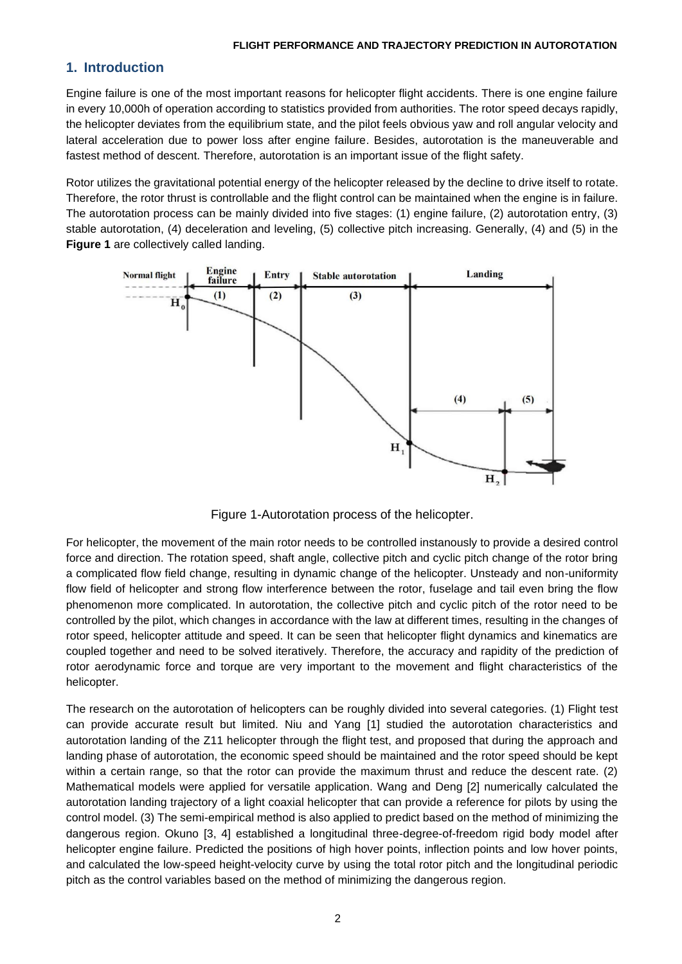## **1. Introduction**

Engine failure is one of the most important reasons for helicopter flight accidents. There is one engine failure in every 10,000h of operation according to statistics provided from authorities. The rotor speed decays rapidly, the helicopter deviates from the equilibrium state, and the pilot feels obvious yaw and roll angular velocity and lateral acceleration due to power loss after engine failure. Besides, autorotation is the maneuverable and fastest method of descent. Therefore, autorotation is an important issue of the flight safety.

Rotor utilizes the gravitational potential energy of the helicopter released by the decline to drive itself to rotate. Therefore, the rotor thrust is controllable and the flight control can be maintained when the engine is in failure. The autorotation process can be mainly divided into five stages: (1) engine failure, (2) autorotation entry, (3) stable autorotation, (4) deceleration and leveling, (5) collective pitch increasing. Generally, (4) and (5) in the **Figure 1** are collectively called landing.



Figure 1-Autorotation process of the helicopter.

For helicopter, the movement of the main rotor needs to be controlled instanously to provide a desired control force and direction. The rotation speed, shaft angle, collective pitch and cyclic pitch change of the rotor bring a complicated flow field change, resulting in dynamic change of the helicopter. Unsteady and non-uniformity flow field of helicopter and strong flow interference between the rotor, fuselage and tail even bring the flow phenomenon more complicated. In autorotation, the collective pitch and cyclic pitch of the rotor need to be controlled by the pilot, which changes in accordance with the law at different times, resulting in the changes of rotor speed, helicopter attitude and speed. It can be seen that helicopter flight dynamics and kinematics are coupled together and need to be solved iteratively. Therefore, the accuracy and rapidity of the prediction of rotor aerodynamic force and torque are very important to the movement and flight characteristics of the helicopter.

The research on the autorotation of helicopters can be roughly divided into several categories. (1) Flight test can provide accurate result but limited. Niu and Yang [1] studied the autorotation characteristics and autorotation landing of the Z11 helicopter through the flight test, and proposed that during the approach and landing phase of autorotation, the economic speed should be maintained and the rotor speed should be kept within a certain range, so that the rotor can provide the maximum thrust and reduce the descent rate. (2) Mathematical models were applied for versatile application. Wang and Deng [2] numerically calculated the autorotation landing trajectory of a light coaxial helicopter that can provide a reference for pilots by using the control model. (3) The semi-empirical method is also applied to predict based on the method of minimizing the dangerous region. Okuno [3, 4] established a longitudinal three-degree-of-freedom rigid body model after helicopter engine failure. Predicted the positions of high hover points, inflection points and low hover points, and calculated the low-speed height-velocity curve by using the total rotor pitch and the longitudinal periodic pitch as the control variables based on the method of minimizing the dangerous region.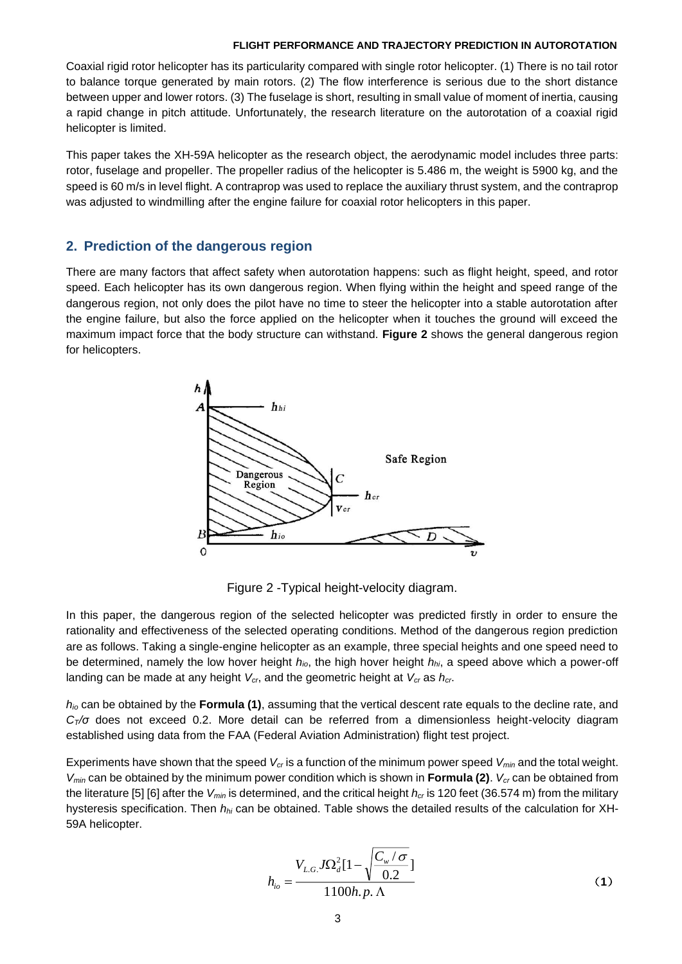Coaxial rigid rotor helicopter has its particularity compared with single rotor helicopter. (1) There is no tail rotor to balance torque generated by main rotors. (2) The flow interference is serious due to the short distance between upper and lower rotors. (3) The fuselage is short, resulting in small value of moment of inertia, causing a rapid change in pitch attitude. Unfortunately, the research literature on the autorotation of a coaxial rigid helicopter is limited.

This paper takes the XH-59A helicopter as the research object, the aerodynamic model includes three parts: rotor, fuselage and propeller. The propeller radius of the helicopter is 5.486 m, the weight is 5900 kg, and the speed is 60 m/s in level flight. A contraprop was used to replace the auxiliary thrust system, and the contraprop was adjusted to windmilling after the engine failure for coaxial rotor helicopters in this paper.

### **2. Prediction of the dangerous region**

There are many factors that affect safety when autorotation happens: such as flight height, speed, and rotor speed. Each helicopter has its own dangerous region. When flying within the height and speed range of the dangerous region, not only does the pilot have no time to steer the helicopter into a stable autorotation after the engine failure, but also the force applied on the helicopter when it touches the ground will exceed the maximum impact force that the body structure can withstand. **Figure 2** shows the general dangerous region for helicopters.



Figure 2 -Typical height-velocity diagram.

In this paper, the dangerous region of the selected helicopter was predicted firstly in order to ensure the rationality and effectiveness of the selected operating conditions. Method of the dangerous region prediction are as follows. Taking a single-engine helicopter as an example, three special heights and one speed need to be determined, namely the low hover height *hio*, the high hover height *hhi*, a speed above which a power-off landing can be made at any height *Vcr*, and the geometric height at *Vcr* as *hcr*.

*hio* can be obtained by the **Formula (1)**, assuming that the vertical descent rate equals to the decline rate, and *CT/σ* does not exceed 0.2. More detail can be referred from a dimensionless height-velocity diagram established using data from the FAA (Federal Aviation Administration) flight test project.

Experiments have shown that the speed *Vcr* is a function of the minimum power speed *Vmin* and the total weight. *Vmin* can be obtained by the minimum power condition which is shown in **Formula (2)**. *Vcr* can be obtained from the literature [5] [6] after the *Vmin* is determined, and the critical height *hcr* is 120 feet (36.574 m) from the military hysteresis specification. Then *hhi* can be obtained. Table shows the detailed results of the calculation for XH-59A helicopter.

$$
h_{io} = \frac{V_{L.G.} J \Omega_d^2 [1 - \sqrt{\frac{C_w / \sigma}{0.2}}]}{1100h.p. \Lambda}
$$
 (1)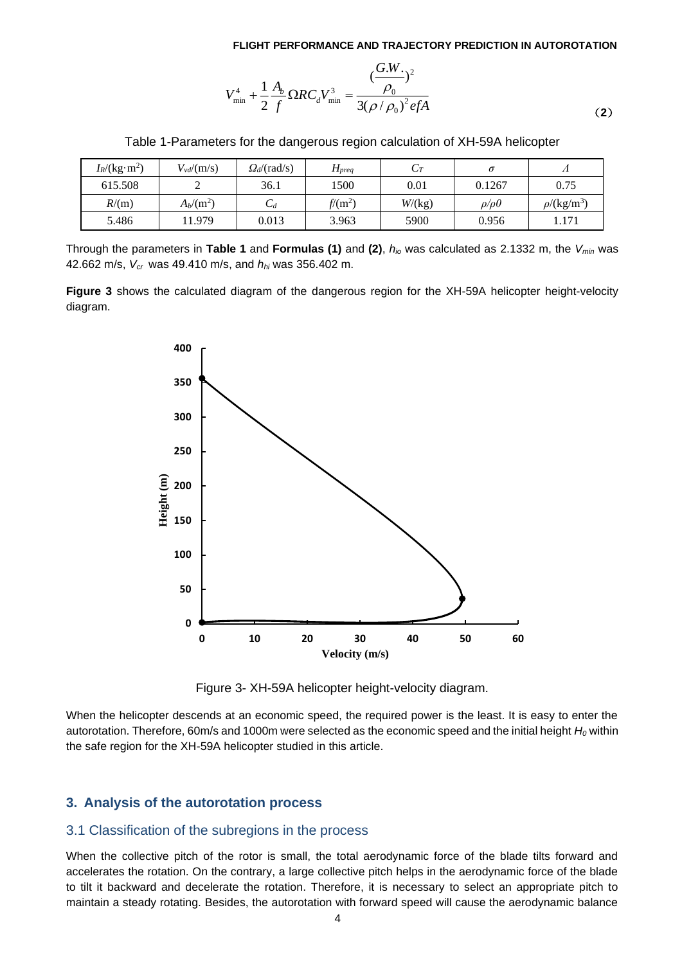$$
V_{\min}^4 + \frac{1}{2} \frac{A_b}{f} \Omega RC_d V_{\min}^3 = \frac{(\frac{G.W.}{\rho_0})^2}{3(\rho/\rho_0)^2 e f A}
$$
(2)

| Table 1-Parameters for the dangerous region calculation of XH-59A helicopter |  |  |  |
|------------------------------------------------------------------------------|--|--|--|
|                                                                              |  |  |  |

| $I_R/(kg \cdot m^2)$ | $V_{vd}/(m/s)$ | $Q_d$ /(rad/s) | $\boldsymbol{\Pi}$ preq | $\epsilon$ |               |                              |
|----------------------|----------------|----------------|-------------------------|------------|---------------|------------------------------|
| 615.508              | ∸              | 36.1           | 1500                    | 0.01       | 0.1267        | 0.75                         |
| R/(m)                | $A_b/(m^2)$    | Ψd             | $f/(m^2)$               | W/(kg)     | $\rho/\rho 0$ | $\rho$ /(kg/m <sup>3</sup> ) |
|                      |                |                |                         |            |               |                              |

Through the parameters in **Table 1** and **Formulas (1)** and **(2)**, *hio* was calculated as 2.1332 m, the *Vmin* was 42.662 m/s, *Vcr* was 49.410 m/s, and *hhi* was 356.402 m.

**Figure 3** shows the calculated diagram of the dangerous region for the XH-59A helicopter height-velocity diagram.



Figure 3- XH-59A helicopter height-velocity diagram.

When the helicopter descends at an economic speed, the required power is the least. It is easy to enter the autorotation. Therefore, 60m/s and 1000m were selected as the economic speed and the initial height *H<sup>0</sup>* within the safe region for the XH-59A helicopter studied in this article.

### **3. Analysis of the autorotation process**

#### 3.1 Classification of the subregions in the process

When the collective pitch of the rotor is small, the total aerodynamic force of the blade tilts forward and accelerates the rotation. On the contrary, a large collective pitch helps in the aerodynamic force of the blade to tilt it backward and decelerate the rotation. Therefore, it is necessary to select an appropriate pitch to maintain a steady rotating. Besides, the autorotation with forward speed will cause the aerodynamic balance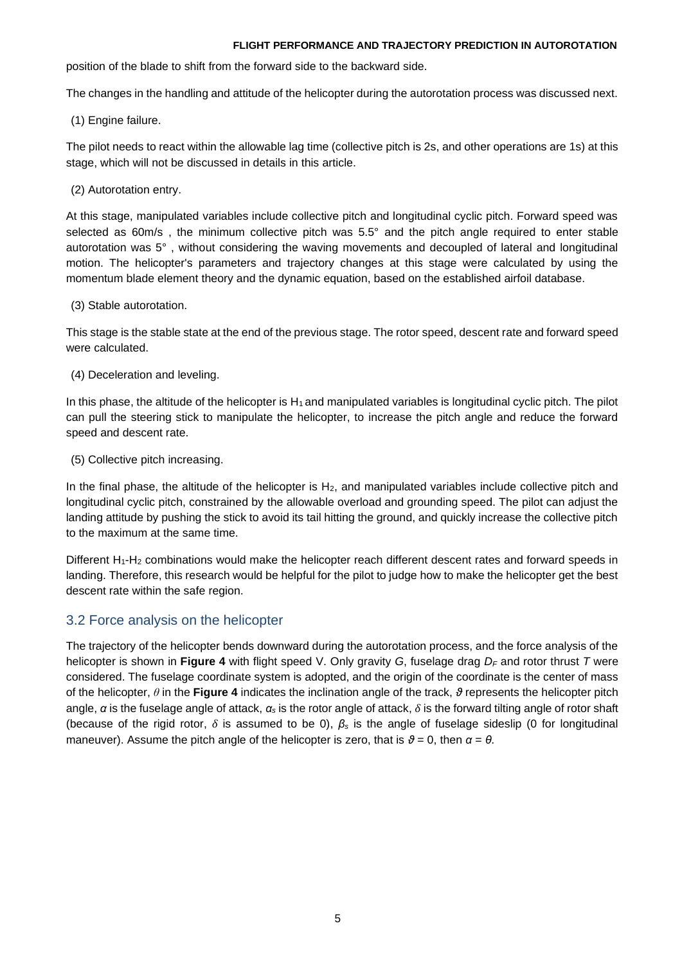position of the blade to shift from the forward side to the backward side.

The changes in the handling and attitude of the helicopter during the autorotation process was discussed next.

(1) Engine failure.

The pilot needs to react within the allowable lag time (collective pitch is 2s, and other operations are 1s) at this stage, which will not be discussed in details in this article.

(2) Autorotation entry.

At this stage, manipulated variables include collective pitch and longitudinal cyclic pitch. Forward speed was selected as 60m/s, the minimum collective pitch was 5.5° and the pitch angle required to enter stable autorotation was 5°, without considering the waving movements and decoupled of lateral and longitudinal motion. The helicopter's parameters and trajectory changes at this stage were calculated by using the momentum blade element theory and the dynamic equation, based on the established airfoil database.

(3) Stable autorotation.

This stage is the stable state at the end of the previous stage. The rotor speed, descent rate and forward speed were calculated.

(4) Deceleration and leveling.

In this phase, the altitude of the helicopter is  $H_1$  and manipulated variables is longitudinal cyclic pitch. The pilot can pull the steering stick to manipulate the helicopter, to increase the pitch angle and reduce the forward speed and descent rate.

(5) Collective pitch increasing.

In the final phase, the altitude of the helicopter is  $H_2$ , and manipulated variables include collective pitch and longitudinal cyclic pitch, constrained by the allowable overload and grounding speed. The pilot can adjust the landing attitude by pushing the stick to avoid its tail hitting the ground, and quickly increase the collective pitch to the maximum at the same time.

Different H<sub>1</sub>-H<sub>2</sub> combinations would make the helicopter reach different descent rates and forward speeds in landing. Therefore, this research would be helpful for the pilot to judge how to make the helicopter get the best descent rate within the safe region.

## 3.2 Force analysis on the helicopter

The trajectory of the helicopter bends downward during the autorotation process, and the force analysis of the helicopter is shown in **Figure 4** with flight speed V. Only gravity *G*, fuselage drag *D<sup>F</sup>* and rotor thrust *T* were considered. The fuselage coordinate system is adopted, and the origin of the coordinate is the center of mass of the helicopter, *θ* in the **Figure 4** indicates the inclination angle of the track, *ϑ* represents the helicopter pitch angle, *α* is the fuselage angle of attack, *α<sup>s</sup>* is the rotor angle of attack, *δ* is the forward tilting angle of rotor shaft (because of the rigid rotor, *δ* is assumed to be 0), *β<sup>s</sup>* is the angle of fuselage sideslip (0 for longitudinal maneuver). Assume the pitch angle of the helicopter is zero, that is  $\theta = 0$ , then  $\alpha = \theta$ .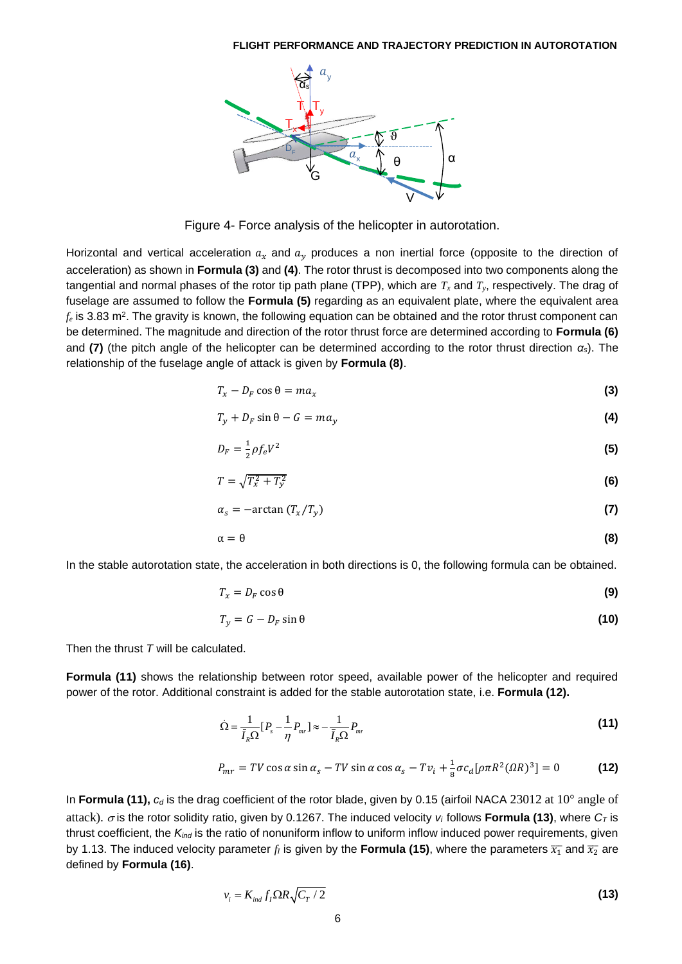

Figure 4- Force analysis of the helicopter in autorotation.

Horizontal and vertical acceleration  $a_x$  and  $a_y$  produces a non inertial force (opposite to the direction of acceleration) as shown in **Formula (3)** and **(4)**. The rotor thrust is decomposed into two components along the tangential and normal phases of the rotor tip path plane (TPP), which are *T<sup>x</sup>* and *Ty*, respectively. The drag of fuselage are assumed to follow the **Formula (5)** regarding as an equivalent plate, where the equivalent area  $f_e$  is 3.83 m<sup>2</sup>. The gravity is known, the following equation can be obtained and the rotor thrust component can be determined. The magnitude and direction of the rotor thrust force are determined according to **Formula (6)**  and **(7)** (the pitch angle of the helicopter can be determined according to the rotor thrust direction *αs*). The relationship of the fuselage angle of attack is given by **Formula (8)**.

$$
T_x - D_F \cos \theta = ma_x \tag{3}
$$

$$
T_y + D_F \sin \theta - G = ma_y \tag{4}
$$

$$
D_F = \frac{1}{2} \rho f_e V^2 \tag{5}
$$

$$
T = \sqrt{T_x^2 + T_y^2} \tag{6}
$$

$$
\alpha_s = -\arctan(T_x/T_y) \tag{7}
$$

$$
\alpha = \theta \tag{8}
$$

In the stable autorotation state, the acceleration in both directions is 0, the following formula can be obtained.

$$
T_x = D_F \cos \theta \tag{9}
$$

$$
T_y = G - D_F \sin \theta \tag{10}
$$

Then the thrust *T* will be calculated.

**Formula (11)** shows the relationship between rotor speed, available power of the helicopter and required power of the rotor. Additional constraint is added for the stable autorotation state, i.e. **Formula (12).**

$$
\dot{\Omega} = \frac{1}{\bar{I}_R \Omega} [P_s - \frac{1}{\eta} P_{mr}] \approx -\frac{1}{\bar{I}_R \Omega} P_{mr}
$$
\n(11)

$$
P_{mr} = TV \cos \alpha \sin \alpha_s - TV \sin \alpha \cos \alpha_s - Tv_i + \frac{1}{8} \sigma c_d [\rho \pi R^2 (\Omega R)^3] = 0
$$
 (12)

In **Formula (11),**  $c_d$  is the drag coefficient of the rotor blade, given by 0.15 (airfoil NACA 23012 at 10 $\degree$  angle of attack).  $\sigma$  is the rotor solidity ratio, given by 0.1267. The induced velocity  $v_i$  follows **Formula (13)**, where  $C<sub>T</sub>$  is thrust coefficient, the *Kind* is the ratio of nonuniform inflow to uniform inflow induced power requirements, given by 1.13. The induced velocity parameter  $f_I$  is given by the **Formula (15)**, where the parameters  $\overline{x_1}$  and  $\overline{x_2}$  are defined by **Formula (16)**.

$$
v_i = K_{ind} f_i \Omega R \sqrt{C_T / 2}
$$
 (13)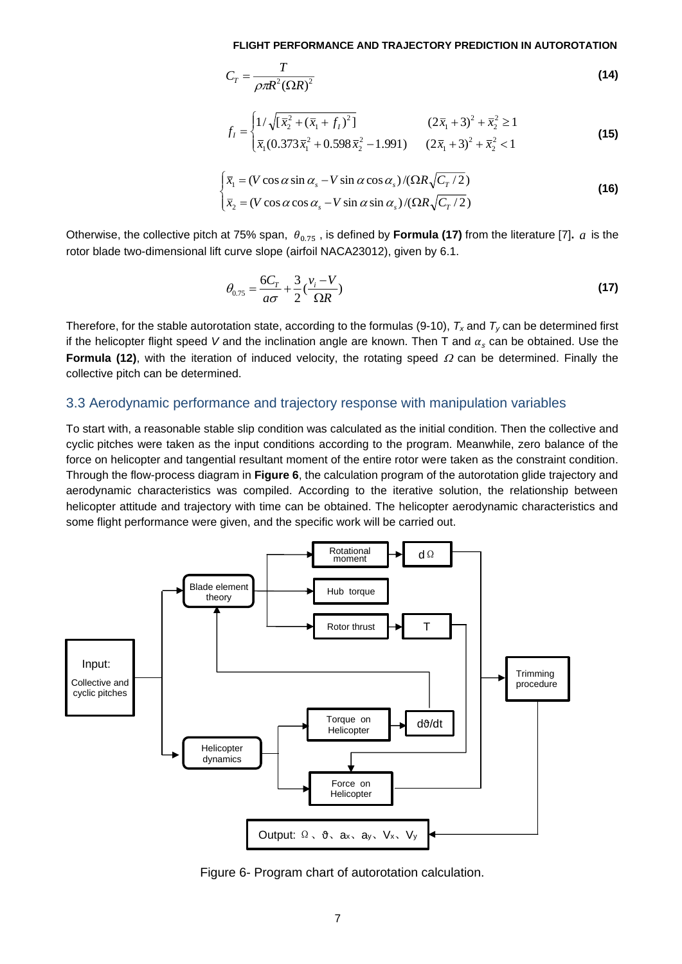$$
C_T = \frac{T}{\rho \pi R^2 (\Omega R)^2}
$$
 (14)

$$
f_{I} = \begin{cases} 1/\sqrt{[\bar{x}_{2}^{2} + (\bar{x}_{1} + f_{I})^{2}]} & (2\bar{x}_{1} + 3)^{2} + \bar{x}_{2}^{2} \ge 1\\ \bar{x}_{1}(0.373\bar{x}_{1}^{2} + 0.598\bar{x}_{2}^{2} - 1.991) & (2\bar{x}_{1} + 3)^{2} + \bar{x}_{2}^{2} < 1 \end{cases}
$$
(15)

$$
\begin{cases} \overline{x}_1 = (V \cos \alpha \sin \alpha_s - V \sin \alpha \cos \alpha_s) / (\Omega R \sqrt{C_T / 2}) \\ \overline{x}_2 = (V \cos \alpha \cos \alpha_s - V \sin \alpha \sin \alpha_s) / (\Omega R \sqrt{C_T / 2}) \end{cases}
$$
(16)

Otherwise, the collective pitch at 75% span,  $\theta_{0.75}$  , is defined by **Formula (17)** from the literature [7].  $a$  is the rotor blade two-dimensional lift curve slope (airfoil NACA23012), given by 6.1.

$$
\theta_{0.75} = \frac{6C_T}{a\sigma} + \frac{3}{2} \left(\frac{v_i - V}{\Omega R}\right)
$$
\n(17)

Therefore, for the stable autorotation state, according to the formulas (9-10),  $T_x$  and  $T_y$  can be determined first if the helicopter flight speed *V* and the inclination angle are known. Then T and  $\alpha_s$  can be obtained. Use the **Formula (12)**, with the iteration of induced velocity, the rotating speed  $\Omega$  can be determined. Finally the collective pitch can be determined.

### 3.3 Aerodynamic performance and trajectory response with manipulation variables

To start with, a reasonable stable slip condition was calculated as the initial condition. Then the collective and cyclic pitches were taken as the input conditions according to the program. Meanwhile, zero balance of the force on helicopter and tangential resultant moment of the entire rotor were taken as the constraint condition. Through the flow-process diagram in **Figure 6**, the calculation program of the autorotation glide trajectory and aerodynamic characteristics was compiled. According to the iterative solution, the relationship between helicopter attitude and trajectory with time can be obtained. The helicopter aerodynamic characteristics and some flight performance were given, and the specific work will be carried out.



Figure 6- Program chart of autorotation calculation.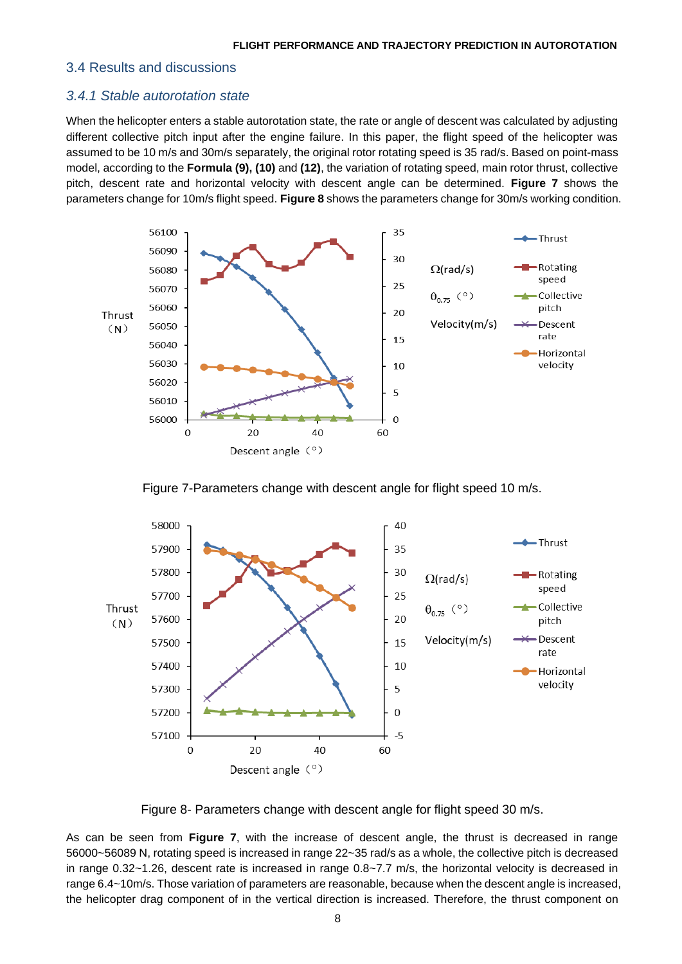#### 3.4 Results and discussions

### *3.4.1 Stable autorotation state*

When the helicopter enters a stable autorotation state, the rate or angle of descent was calculated by adjusting different collective pitch input after the engine failure. In this paper, the flight speed of the helicopter was assumed to be 10 m/s and 30m/s separately, the original rotor rotating speed is 35 rad/s. Based on point-mass model, according to the **Formula (9), (10)** and **(12)**, the variation of rotating speed, main rotor thrust, collective pitch, descent rate and horizontal velocity with descent angle can be determined. **Figure 7** shows the parameters change for 10m/s flight speed. **Figure 8** shows the parameters change for 30m/s working condition.



Figure 7-Parameters change with descent angle for flight speed 10 m/s.



Figure 8- Parameters change with descent angle for flight speed 30 m/s.

As can be seen from **Figure 7**, with the increase of descent angle, the thrust is decreased in range 56000~56089 N, rotating speed is increased in range 22~35 rad/s as a whole, the collective pitch is decreased in range 0.32~1.26, descent rate is increased in range 0.8~7.7 m/s, the horizontal velocity is decreased in range 6.4~10m/s. Those variation of parameters are reasonable, because when the descent angle is increased, the helicopter drag component of in the vertical direction is increased. Therefore, the thrust component on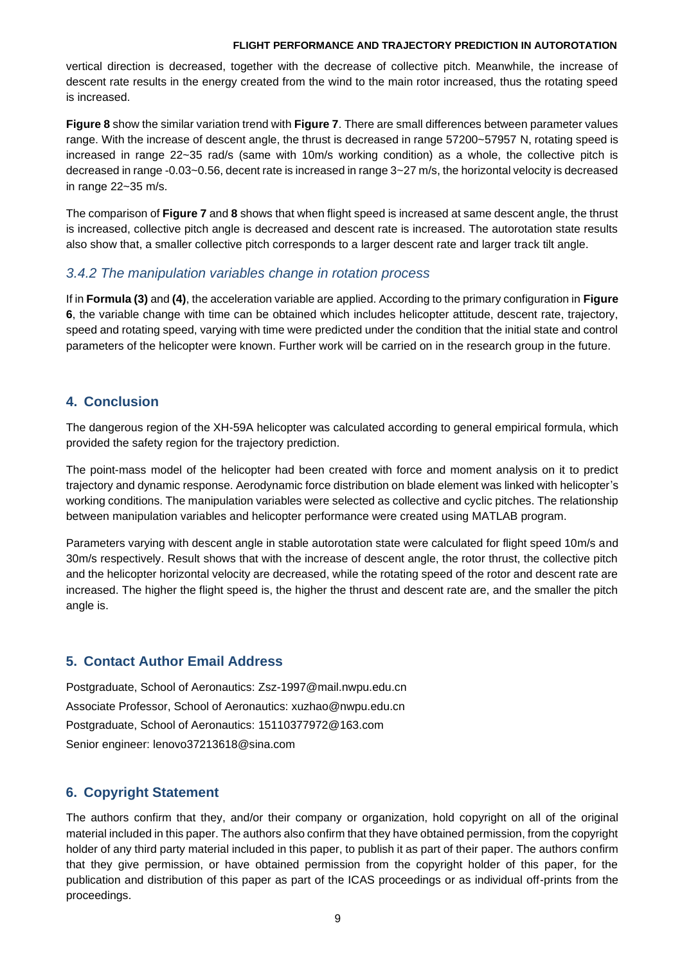vertical direction is decreased, together with the decrease of collective pitch. Meanwhile, the increase of descent rate results in the energy created from the wind to the main rotor increased, thus the rotating speed is increased.

**Figure 8** show the similar variation trend with **Figure 7**. There are small differences between parameter values range. With the increase of descent angle, the thrust is decreased in range 57200~57957 N, rotating speed is increased in range 22~35 rad/s (same with 10m/s working condition) as a whole, the collective pitch is decreased in range -0.03~0.56, decent rate is increased in range 3~27 m/s, the horizontal velocity is decreased in range 22~35 m/s.

The comparison of **Figure 7** and **8** shows that when flight speed is increased at same descent angle, the thrust is increased, collective pitch angle is decreased and descent rate is increased. The autorotation state results also show that, a smaller collective pitch corresponds to a larger descent rate and larger track tilt angle.

# *3.4.2 The manipulation variables change in rotation process*

If in **Formula (3)** and **(4)**, the acceleration variable are applied. According to the primary configuration in **Figure 6**, the variable change with time can be obtained which includes helicopter attitude, descent rate, trajectory, speed and rotating speed, varying with time were predicted under the condition that the initial state and control parameters of the helicopter were known. Further work will be carried on in the research group in the future.

# **4. Conclusion**

The dangerous region of the XH-59A helicopter was calculated according to general empirical formula, which provided the safety region for the trajectory prediction.

The point-mass model of the helicopter had been created with force and moment analysis on it to predict trajectory and dynamic response. Aerodynamic force distribution on blade element was linked with helicopter's working conditions. The manipulation variables were selected as collective and cyclic pitches. The relationship between manipulation variables and helicopter performance were created using MATLAB program.

Parameters varying with descent angle in stable autorotation state were calculated for flight speed 10m/s and 30m/s respectively. Result shows that with the increase of descent angle, the rotor thrust, the collective pitch and the helicopter horizontal velocity are decreased, while the rotating speed of the rotor and descent rate are increased. The higher the flight speed is, the higher the thrust and descent rate are, and the smaller the pitch angle is.

# **5. Contact Author Email Address**

Postgraduate, School of Aeronautics: Zsz-1997@mail.nwpu.edu.cn Associate Professor, School of Aeronautics: xuzhao@nwpu.edu.cn Postgraduate, School of Aeronautics: 15110377972@163.com Senior engineer: lenovo37213618@sina.com

# **6. Copyright Statement**

The authors confirm that they, and/or their company or organization, hold copyright on all of the original material included in this paper. The authors also confirm that they have obtained permission, from the copyright holder of any third party material included in this paper, to publish it as part of their paper. The authors confirm that they give permission, or have obtained permission from the copyright holder of this paper, for the publication and distribution of this paper as part of the ICAS proceedings or as individual off-prints from the proceedings.